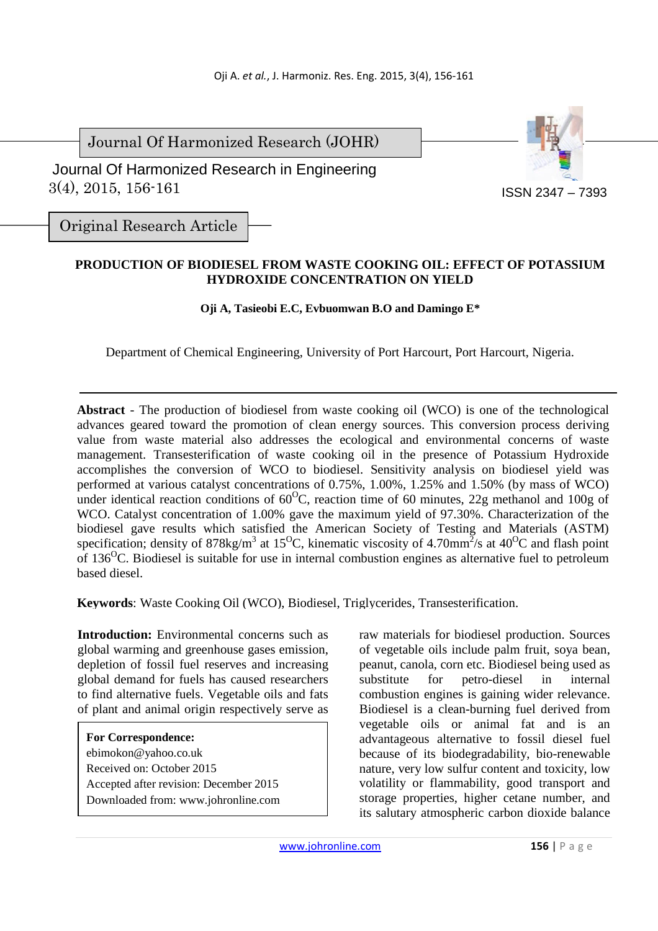Journal Of Harmonized Research (JOHR)

 3(4), 2015, 156-161 Journal Of Harmonized Research in Engineering



Original Research Article

# **PRODUCTION OF BIODIESEL FROM WASTE COOKING OIL: EFFECT OF POTASSIUM HYDROXIDE CONCENTRATION ON YIELD**

**Oji A, Tasieobi E.C, Evbuomwan B.O and Damingo E\*** 

Department of Chemical Engineering, University of Port Harcourt, Port Harcourt, Nigeria.

**Abstract** *-* The production of biodiesel from waste cooking oil (WCO) is one of the technological advances geared toward the promotion of clean energy sources. This conversion process deriving value from waste material also addresses the ecological and environmental concerns of waste management. Transesterification of waste cooking oil in the presence of Potassium Hydroxide accomplishes the conversion of WCO to biodiesel. Sensitivity analysis on biodiesel yield was performed at various catalyst concentrations of 0.75%, 1.00%, 1.25% and 1.50% (by mass of WCO) under identical reaction conditions of  $60^{\circ}$ C, reaction time of 60 minutes, 22g methanol and 100g of WCO. Catalyst concentration of 1.00% gave the maximum yield of 97.30%. Characterization of the biodiesel gave results which satisfied the American Society of Testing and Materials (ASTM) specification; density of 878kg/m<sup>3</sup> at 15<sup>o</sup>C, kinematic viscosity of 4.70mm<sup>2</sup>/s at 40<sup>o</sup>C and flash point of 136<sup>o</sup>C. Biodiesel is suitable for use in internal combustion engines as alternative fuel to petroleum based diesel.

**Keywords**: Waste Cooking Oil (WCO), Biodiesel, Triglycerides, Transesterification.

**Introduction:** Environmental concerns such as global warming and greenhouse gases emission, depletion of fossil fuel reserves and increasing global demand for fuels has caused researchers to find alternative fuels. Vegetable oils and fats of plant and animal origin respectively serve as

**For Correspondence:**  ebimokon@yahoo.co.uk Received on: October 2015 Accepted after revision: December 2015 Downloaded from: www.johronline.com raw materials for biodiesel production. Sources of vegetable oils include palm fruit, soya bean, peanut, canola, corn etc. Biodiesel being used as substitute for petro-diesel in internal combustion engines is gaining wider relevance. Biodiesel is a clean-burning fuel derived from vegetable oils or animal fat and is an advantageous alternative to fossil diesel fuel because of its biodegradability, bio-renewable nature, very low sulfur content and toxicity, low volatility or flammability, good transport and storage properties, higher cetane number, and its salutary atmospheric carbon dioxide balance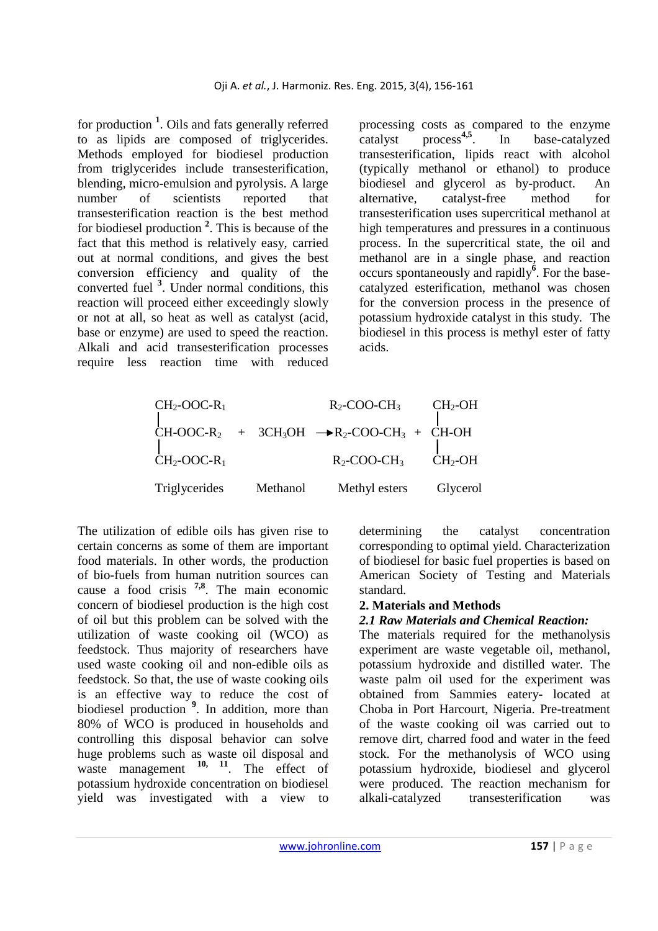for production **<sup>1</sup>** . Oils and fats generally referred to as lipids are composed of triglycerides. Methods employed for biodiesel production from triglycerides include transesterification, blending, micro-emulsion and pyrolysis. A large number of scientists reported that transesterification reaction is the best method for biodiesel production **<sup>2</sup>** . This is because of the fact that this method is relatively easy, carried out at normal conditions, and gives the best conversion efficiency and quality of the converted fuel **<sup>3</sup>** . Under normal conditions, this reaction will proceed either exceedingly slowly or not at all, so heat as well as catalyst (acid, base or enzyme) are used to speed the reaction. Alkali and acid transesterification processes require less reaction time with reduced

processing costs as compared to the enzyme catalyst process**4,5**. In base-catalyzed transesterification, lipids react with alcohol (typically methanol or ethanol) to produce biodiesel and glycerol as by-product. An alternative, catalyst-free method for transesterification uses supercritical methanol at high temperatures and pressures in a continuous process. In the supercritical state, the oil and methanol are in a single phase, and reaction occurs spontaneously and rapidly**<sup>6</sup>** . For the basecatalyzed esterification, methanol was chosen for the conversion process in the presence of potassium hydroxide catalyst in this study. The biodiesel in this process is methyl ester of fatty acids.

| $CH2-OOC-R1$  |          | $R_2$ -COO-CH <sub>3</sub>                          | $CH2-OH$  |
|---------------|----------|-----------------------------------------------------|-----------|
|               |          | $CH-OOC-R2 + 3CH3OH \rightarrow R2-COO-CH3 + CH-OH$ |           |
| $CH2-OOC-R1$  |          | $R_2$ -COO-CH <sub>3</sub>                          | $CH2$ -OH |
| Triglycerides | Methanol | Methyl esters                                       | Glycerol  |

The utilization of edible oils has given rise to certain concerns as some of them are important food materials. In other words, the production of bio-fuels from human nutrition sources can cause a food crisis **7,8**. The main economic concern of biodiesel production is the high cost of oil but this problem can be solved with the utilization of waste cooking oil (WCO) as feedstock. Thus majority of researchers have used waste cooking oil and non-edible oils as feedstock. So that, the use of waste cooking oils is an effective way to reduce the cost of biodiesel production **<sup>9</sup>** . In addition, more than 80% of WCO is produced in households and controlling this disposal behavior can solve huge problems such as waste oil disposal and waste management <sup>10, 11</sup>. The effect of potassium hydroxide concentration on biodiesel yield was investigated with a view to

determining the catalyst concentration corresponding to optimal yield. Characterization of biodiesel for basic fuel properties is based on American Society of Testing and Materials standard.

### **2. Materials and Methods**

#### *2.1 Raw Materials and Chemical Reaction:*

The materials required for the methanolysis experiment are waste vegetable oil, methanol, potassium hydroxide and distilled water. The waste palm oil used for the experiment was obtained from Sammies eatery- located at Choba in Port Harcourt, Nigeria. Pre-treatment of the waste cooking oil was carried out to remove dirt, charred food and water in the feed stock. For the methanolysis of WCO using potassium hydroxide, biodiesel and glycerol were produced. The reaction mechanism for alkali-catalyzed transesterification was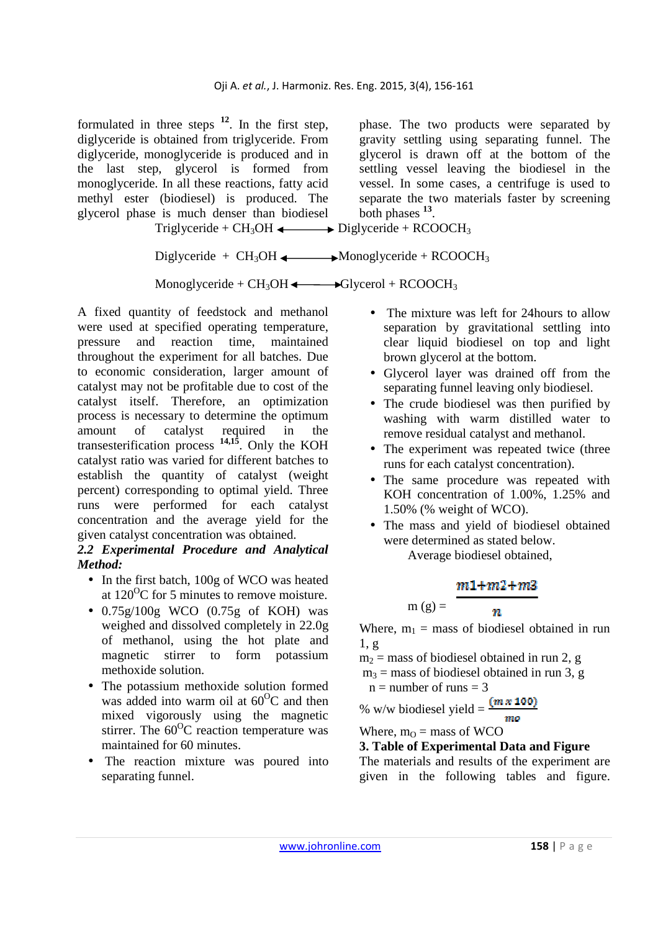formulated in three steps **<sup>12</sup>**. In the first step, diglyceride is obtained from triglyceride. From diglyceride, monoglyceride is produced and in the last step, glycerol is formed from monoglyceride. In all these reactions, fatty acid methyl ester (biodiesel) is produced. The glycerol phase is much denser than biodiesel phase. The two products were separated by gravity settling using separating funnel. The glycerol is drawn off at the bottom of the settling vessel leaving the biodiesel in the vessel. In some cases, a centrifuge is used to separate the two materials faster by screening both phases **<sup>13</sup>** .

Triglyceride +  $CH_3OH \longleftrightarrow$  Diglyceride + RCOOCH<sub>3</sub>

Diglyceride +  $CH_3OH \longrightarrow Monoglyceride + RCOOCH_3$ 

Monoglyceride +  $CH_3OH \longrightarrow Glycerol + RCOOCH_3$ 

A fixed quantity of feedstock and methanol were used at specified operating temperature, pressure and reaction time, maintained throughout the experiment for all batches. Due to economic consideration, larger amount of catalyst may not be profitable due to cost of the catalyst itself. Therefore, an optimization process is necessary to determine the optimum amount of catalyst required in the transesterification process **14,15**. Only the KOH catalyst ratio was varied for different batches to establish the quantity of catalyst (weight percent) corresponding to optimal yield. Three runs were performed for each catalyst concentration and the average yield for the given catalyst concentration was obtained.

### *2.2 Experimental Procedure and Analytical Method:*

- In the first batch, 100g of WCO was heated at  $120^{\circ}$ C for 5 minutes to remove moisture.
- $\bullet$  0.75g/100g WCO (0.75g of KOH) was weighed and dissolved completely in 22.0g of methanol, using the hot plate and magnetic stirrer to form potassium methoxide solution.
- The potassium methoxide solution formed was added into warm oil at  $60^{\circ}$ C and then mixed vigorously using the magnetic stirrer. The  $60^{\circ}$ C reaction temperature was maintained for 60 minutes.
- The reaction mixture was poured into separating funnel.
- The mixture was left for 24 hours to allow separation by gravitational settling into clear liquid biodiesel on top and light brown glycerol at the bottom.
- Glycerol layer was drained off from the separating funnel leaving only biodiesel.
- The crude biodiesel was then purified by washing with warm distilled water to remove residual catalyst and methanol.
- The experiment was repeated twice (three runs for each catalyst concentration).
- The same procedure was repeated with KOH concentration of 1.00%, 1.25% and 1.50% (% weight of WCO).
- The mass and yield of biodiesel obtained were determined as stated below.

Average biodiesel obtained,

# $m1 + m2 + m3$

 $\boldsymbol{n}$ 

$$
m(g) =
$$

Where,  $m_1$  = mass of biodiesel obtained in run 1, g

 $m_2$  = mass of biodiesel obtained in run 2, g

 $m_3$  = mass of biodiesel obtained in run 3, g

 $n =$  number of runs  $= 3$ 

% w/w biodiesel yield =  $\frac{(m \times 100)}{m}$ 

Where,  $m<sub>O</sub>$  = mass of WCO

# **3. Table of Experimental Data and Figure**

The materials and results of the experiment are given in the following tables and figure.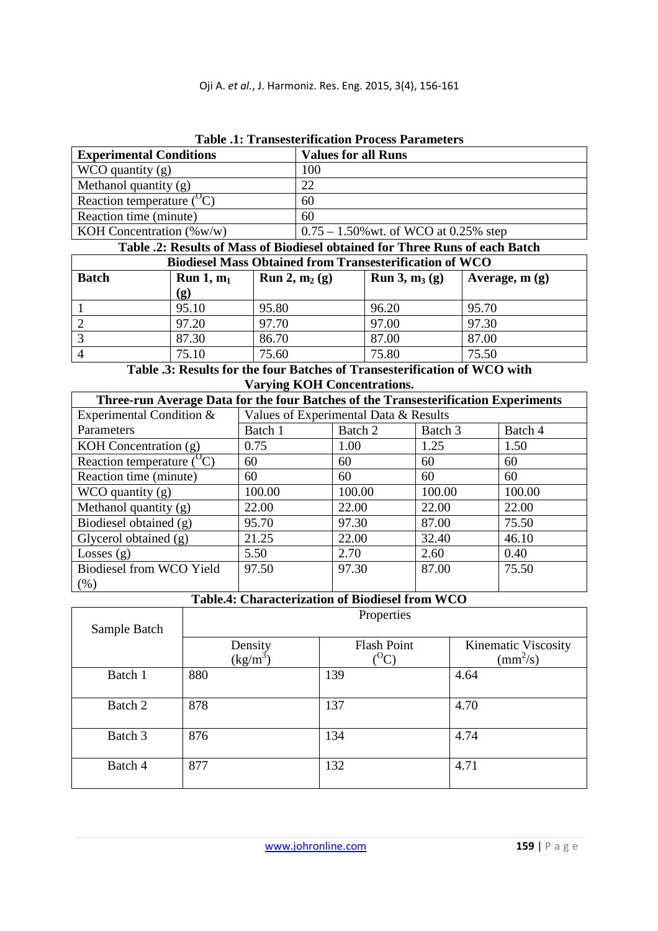| Tudio iti ttumbodi mamala ttucchi tutumichi |                                          |  |  |
|---------------------------------------------|------------------------------------------|--|--|
| <b>Experimental Conditions</b>              | <b>Values for all Runs</b>               |  |  |
| WCO quantity $(g)$                          | 100                                      |  |  |
| Methanol quantity $(g)$                     | 22                                       |  |  |
| Reaction temperature $({}^{\circ}C)$        | 60                                       |  |  |
| Reaction time (minute)                      | 60                                       |  |  |
| KOH Concentration $(\%w/w)$                 | $0.75 - 1.50\%$ wt. of WCO at 0.25% step |  |  |

**Table .1: Transesterification Process Parameters** 

**Table .2: Results of Mass of Biodiesel obtained for Three Runs of each Batch** 

| <b>Biodiesel Mass Obtained from Transesterification of WCO</b> |                             |                                 |                                 |                 |
|----------------------------------------------------------------|-----------------------------|---------------------------------|---------------------------------|-----------------|
| <b>Batch</b>                                                   | Run 1, m <sub>1</sub>       | <b>Run 2, m<sub>2</sub></b> (g) | <b>Run 3, m<sub>3</sub></b> (g) | Average, $m(g)$ |
|                                                                | $\left( \mathbf{g} \right)$ |                                 |                                 |                 |
|                                                                | 95.10                       | 95.80                           | 96.20                           | 95.70           |
|                                                                | 97.20                       | 97.70                           | 97.00                           | 97.30           |
|                                                                | 87.30                       | 86.70                           | 87.00                           | 87.00           |
|                                                                | 75.10                       | 75.60                           | 75.80                           | 75.50           |

**Table .3: Results for the four Batches of Transesterification of WCO with Varying KOH Concentrations.** 

| Three-run Average Data for the four Batches of the Transesterification Experiments |                                       |         |         |         |
|------------------------------------------------------------------------------------|---------------------------------------|---------|---------|---------|
| Experimental Condition &                                                           | Values of Experimental Data & Results |         |         |         |
| Parameters                                                                         | Batch 1                               | Batch 2 | Batch 3 | Batch 4 |
| KOH Concentration $(g)$                                                            | 0.75                                  | 1.00    | 1.25    | 1.50    |
| Reaction temperature $({}^{O}C)$                                                   | 60                                    | 60      | 60      | 60      |
| Reaction time (minute)                                                             | 60                                    | 60      | 60      | 60      |
| $WCO$ quantity $(g)$                                                               | 100.00                                | 100.00  | 100.00  | 100.00  |
| Methanol quantity $(g)$                                                            | 22.00                                 | 22.00   | 22.00   | 22.00   |
| Biodiesel obtained (g)                                                             | 95.70                                 | 97.30   | 87.00   | 75.50   |
| Glycerol obtained $(g)$                                                            | 21.25                                 | 22.00   | 32.40   | 46.10   |
| Losses $(g)$                                                                       | 5.50                                  | 2.70    | 2.60    | 0.40    |
| Biodiesel from WCO Yield                                                           | 97.50                                 | 97.30   | 87.00   | 75.50   |
| (% )                                                                               |                                       |         |         |         |

### **Table.4: Characterization of Biodiesel from WCO**

| Properties |                    |                          |  |
|------------|--------------------|--------------------------|--|
|            |                    |                          |  |
| Density    | <b>Flash Point</b> | Kinematic Viscosity      |  |
| $(kg/m^3)$ |                    | $\text{(mm}^2\text{/s)}$ |  |
| 880        | 139                | 4.64                     |  |
|            |                    |                          |  |
| 878        | 137                | 4.70                     |  |
|            |                    |                          |  |
|            |                    | 4.74                     |  |
| 877        | 132                | 4.71                     |  |
|            | 876                | $^{0}C$<br>134           |  |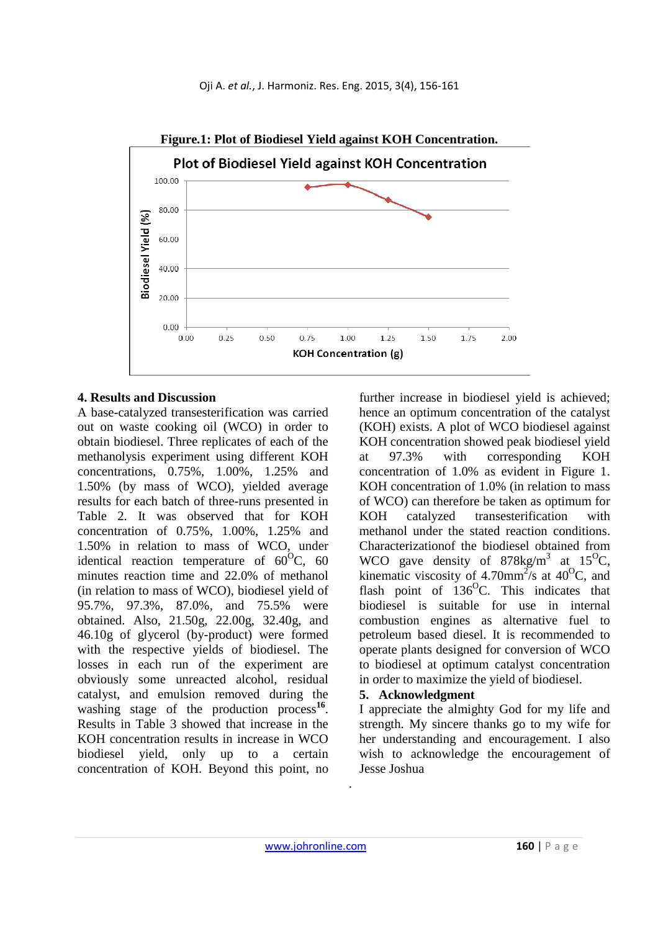

### **4. Results and Discussion**

A base-catalyzed transesterification was carried out on waste cooking oil (WCO) in order to obtain biodiesel. Three replicates of each of the methanolysis experiment using different KOH concentrations, 0.75%, 1.00%, 1.25% and 1.50% (by mass of WCO), yielded average results for each batch of three-runs presented in Table 2. It was observed that for KOH concentration of 0.75%, 1.00%, 1.25% and 1.50% in relation to mass of WCO, under identical reaction temperature of  $60^{\circ}$ C, 60 minutes reaction time and 22.0% of methanol (in relation to mass of WCO), biodiesel yield of 95.7%, 97.3%, 87.0%, and 75.5% were obtained. Also, 21.50g, 22.00g, 32.40g, and 46.10g of glycerol (by-product) were formed with the respective yields of biodiesel. The losses in each run of the experiment are obviously some unreacted alcohol, residual catalyst, and emulsion removed during the washing stage of the production process<sup>16</sup>. Results in Table 3 showed that increase in the KOH concentration results in increase in WCO biodiesel yield, only up to a certain concentration of KOH. Beyond this point, no

further increase in biodiesel yield is achieved; hence an optimum concentration of the catalyst (KOH) exists. A plot of WCO biodiesel against KOH concentration showed peak biodiesel yield at 97.3% with corresponding KOH concentration of 1.0% as evident in Figure 1. KOH concentration of 1.0% (in relation to mass of WCO) can therefore be taken as optimum for KOH catalyzed transesterification with methanol under the stated reaction conditions. Characterizationof the biodiesel obtained from WCO gave density of  $878\text{kg/m}^3$  at  $15^{\circ}\text{C}$ , kinematic viscosity of 4.70mm<sup>2</sup>/s at 40<sup>o</sup>C, and flash point of  $136^{\circ}$ C. This indicates that biodiesel is suitable for use in internal combustion engines as alternative fuel to petroleum based diesel. It is recommended to operate plants designed for conversion of WCO to biodiesel at optimum catalyst concentration in order to maximize the yield of biodiesel.

# **5. Acknowledgment**

I appreciate the almighty God for my life and strength. My sincere thanks go to my wife for her understanding and encouragement. I also wish to acknowledge the encouragement of Jesse Joshua

.